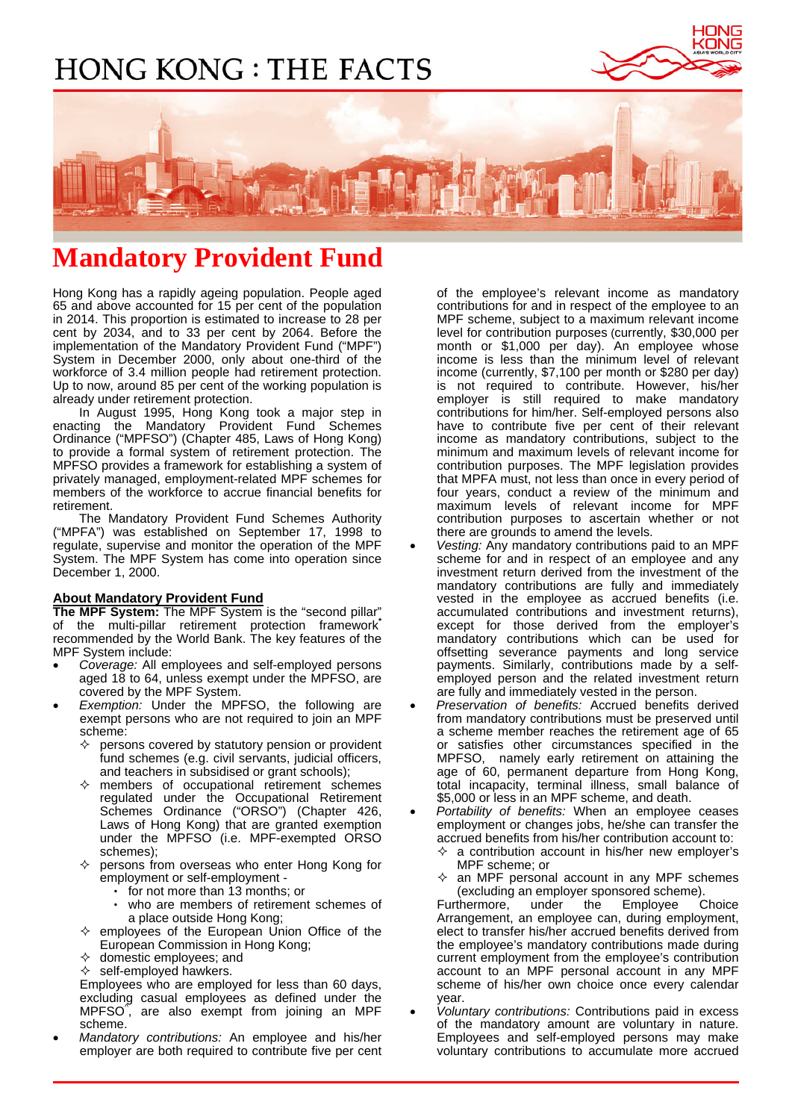# **HONG KONG : THE FACTS**





# **Mandatory Provident Fund**

Hong Kong has a rapidly ageing population. People aged 65 and above accounted for 15 per cent of the population in 2014. This proportion is estimated to increase to 28 per cent by 2034, and to 33 per cent by 2064. Before the implementation of the Mandatory Provident Fund ("MPF") System in December 2000, only about one-third of the workforce of 3.4 million people had retirement protection. Up to now, around 85 per cent of the working population is already under retirement protection.

 In August 1995, Hong Kong took a major step in enacting the Mandatory Provident Fund Schemes Ordinance ("MPFSO") (Chapter 485, Laws of Hong Kong) to provide a formal system of retirement protection. The MPFSO provides a framework for establishing a system of privately managed, employment-related MPF schemes for members of the workforce to accrue financial benefits for retirement.

 The Mandatory Provident Fund Schemes Authority ("MPFA") was established on September 17, 1998 to regulate, supervise and monitor the operation of the MPF System. The MPF System has come into operation since December 1, 2000.

## **About Mandatory Provident Fund**

**The MPF System:** The MPF System is the "second pillar" of the multi-pillar retirement protection framework**\*** recommended by the World Bank. The key features of the MPF System include:

- *Coverage:* All employees and self-employed persons aged 18 to 64, unless exempt under the MPFSO, are covered by the MPF System.
- Exemption: Under the MPFSO, the following are exempt persons who are not required to join an MPF scheme:
	- $\Diamond$  persons covered by statutory pension or provident fund schemes (e.g. civil servants, judicial officers, and teachers in subsidised or grant schools);
	- $\diamond$  members of occupational retirement schemes regulated under the Occupational Retirement Schemes Ordinance ("ORSO") (Chapter 426, Laws of Hong Kong) that are granted exemption under the MPFSO (i.e. MPF-exempted ORSO schemes);
	- persons from overseas who enter Hong Kong for employment or self-employment
		- for not more than 13 months; or
		- who are members of retirement schemes of a place outside Hong Kong;
	- $\Leftrightarrow$  employees of the European Union Office of the European Commission in Hong Kong;
	- $\Diamond$  domestic employees; and
	- self-employed hawkers.

Employees who are employed for less than 60 days, excluding casual employees as defined under the MPFSO^ , are also exempt from joining an MPF scheme.

• *Mandatory contributions:* An employee and his/her employer are both required to contribute five per cent of the employee's relevant income as mandatory contributions for and in respect of the employee to an MPF scheme, subject to a maximum relevant income level for contribution purposes (currently, \$30,000 per month or \$1,000 per day). An employee whose income is less than the minimum level of relevant income (currently, \$7,100 per month or \$280 per day) is not required to contribute. However, his/her employer is still required to make mandatory contributions for him/her. Self-employed persons also have to contribute five per cent of their relevant income as mandatory contributions, subject to the minimum and maximum levels of relevant income for contribution purposes. The MPF legislation provides that MPFA must, not less than once in every period of four years, conduct a review of the minimum and maximum levels of relevant income for MPF contribution purposes to ascertain whether or not there are grounds to amend the levels.

- *Vesting:* Any mandatory contributions paid to an MPF scheme for and in respect of an employee and any investment return derived from the investment of the mandatory contributions are fully and immediately vested in the employee as accrued benefits (i.e. accumulated contributions and investment returns), except for those derived from the employer's mandatory contributions which can be used for offsetting severance payments and long service payments. Similarly, contributions made by a selfemployed person and the related investment return are fully and immediately vested in the person.
- *Preservation of benefits:* Accrued benefits derived from mandatory contributions must be preserved until a scheme member reaches the retirement age of 65 or satisfies other circumstances specified in the MPFSO, namely early retirement on attaining the age of 60, permanent departure from Hong Kong, total incapacity, terminal illness, small balance of \$5,000 or less in an MPF scheme, and death.
- *Portability of benefits:* When an employee ceases employment or changes jobs, he/she can transfer the accrued benefits from his/her contribution account to:
	- $\Diamond$  a contribution account in his/her new employer's MPF scheme; or
	- $\Diamond$  an MPF personal account in any MPF schemes (excluding an employer sponsored scheme).

Furthermore, under the Employee Choice Arrangement, an employee can, during employment, elect to transfer his/her accrued benefits derived from the employee's mandatory contributions made during current employment from the employee's contribution account to an MPF personal account in any MPF scheme of his/her own choice once every calendar year.

• *Voluntary contributions:* Contributions paid in excess of the mandatory amount are voluntary in nature. Employees and self-employed persons may make voluntary contributions to accumulate more accrued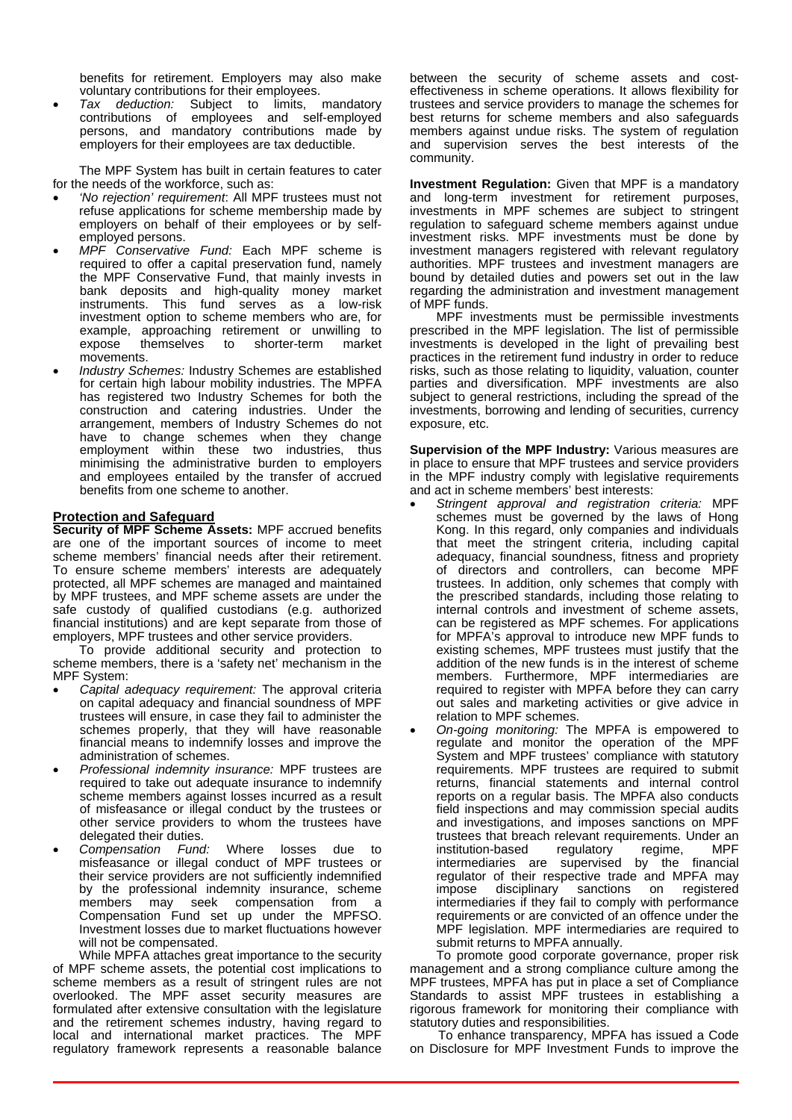benefits for retirement. Employers may also make voluntary contributions for their employees.

• *Tax deduction:* Subject to limits, mandatory contributions of employees and self-employed persons, and mandatory contributions made by employers for their employees are tax deductible.

 The MPF System has built in certain features to cater for the needs of the workforce, such as:

- *'No rejection' requirement*: All MPF trustees must not refuse applications for scheme membership made by employers on behalf of their employees or by selfemployed persons.
- *MPF Conservative Fund:* Each MPF scheme is required to offer a capital preservation fund, namely the MPF Conservative Fund, that mainly invests in bank deposits and high-quality money market instruments. This fund serves as a low-risk investment option to scheme members who are, for example, approaching retirement or unwilling to expose themselves to shorter-term movements.
- *Industry Schemes:* Industry Schemes are established for certain high labour mobility industries. The MPFA has registered two Industry Schemes for both the construction and catering industries. Under the arrangement, members of Industry Schemes do not have to change schemes when they change employment within these two industries, thus minimising the administrative burden to employers and employees entailed by the transfer of accrued benefits from one scheme to another.

#### **Protection and Safeguard**

**Security of MPF Scheme Assets:** MPF accrued benefits are one of the important sources of income to meet scheme members' financial needs after their retirement. To ensure scheme members' interests are adequately protected, all MPF schemes are managed and maintained by MPF trustees, and MPF scheme assets are under the safe custody of qualified custodians (e.g. authorized financial institutions) and are kept separate from those of employers, MPF trustees and other service providers.

 To provide additional security and protection to scheme members, there is a 'safety net' mechanism in the MPF System:

- *Capital adequacy requirement:* The approval criteria on capital adequacy and financial soundness of MPF trustees will ensure, in case they fail to administer the schemes properly, that they will have reasonable financial means to indemnify losses and improve the administration of schemes.
- *Professional indemnity insurance:* MPF trustees are required to take out adequate insurance to indemnify scheme members against losses incurred as a result of misfeasance or illegal conduct by the trustees or other service providers to whom the trustees have delegated their duties.<br>Compensation Fund:
- *Compensation Fund:* Where losses due to misfeasance or illegal conduct of MPF trustees or their service providers are not sufficiently indemnified by the professional indemnity insurance, scheme members may seek compensation from a Compensation Fund set up under the MPFSO. Investment losses due to market fluctuations however will not be compensated.

 While MPFA attaches great importance to the security of MPF scheme assets, the potential cost implications to scheme members as a result of stringent rules are not overlooked. The MPF asset security measures are formulated after extensive consultation with the legislature and the retirement schemes industry, having regard to local and international market practices. The MPF regulatory framework represents a reasonable balance

between the security of scheme assets and costeffectiveness in scheme operations. It allows flexibility for trustees and service providers to manage the schemes for best returns for scheme members and also safeguards members against undue risks. The system of regulation and supervision serves the best interests of the community.

**Investment Regulation:** Given that MPF is a mandatory and long-term investment for retirement purposes, investments in MPF schemes are subject to stringent regulation to safeguard scheme members against undue investment risks. MPF investments must be done by investment managers registered with relevant regulatory authorities. MPF trustees and investment managers are bound by detailed duties and powers set out in the law regarding the administration and investment management of MPF funds.

 MPF investments must be permissible investments prescribed in the MPF legislation. The list of permissible investments is developed in the light of prevailing best practices in the retirement fund industry in order to reduce risks, such as those relating to liquidity, valuation, counter parties and diversification. MPF investments are also subject to general restrictions, including the spread of the investments, borrowing and lending of securities, currency exposure, etc.

**Supervision of the MPF Industry:** Various measures are in place to ensure that MPF trustees and service providers in the MPF industry comply with legislative requirements and act in scheme members' best interests:

- *Stringent approval and registration criteria:* MPF schemes must be governed by the laws of Hong Kong. In this regard, only companies and individuals that meet the stringent criteria, including capital adequacy, financial soundness, fitness and propriety of directors and controllers, can become MPF trustees. In addition, only schemes that comply with the prescribed standards, including those relating to internal controls and investment of scheme assets, can be registered as MPF schemes. For applications for MPFA's approval to introduce new MPF funds to existing schemes, MPF trustees must justify that the addition of the new funds is in the interest of scheme members. Furthermore, MPF intermediaries are required to register with MPFA before they can carry out sales and marketing activities or give advice in relation to MPF schemes.
- *On-going monitoring:* The MPFA is empowered to regulate and monitor the operation of the MPF System and MPF trustees' compliance with statutory requirements. MPF trustees are required to submit returns, financial statements and internal control reports on a regular basis. The MPFA also conducts field inspections and may commission special audits and investigations, and imposes sanctions on MPF trustees that breach relevant requirements. Under an institution-based regulatory regime, MPF institution-based regulatory regime, MPF intermediaries are supervised by the financial regulator of their respective trade and MPFA may impose disciplinary sanctions on registered intermediaries if they fail to comply with performance requirements or are convicted of an offence under the MPF legislation. MPF intermediaries are required to submit returns to MPFA annually.

 To promote good corporate governance, proper risk management and a strong compliance culture among the MPF trustees, MPFA has put in place a set of Compliance Standards to assist MPF trustees in establishing a rigorous framework for monitoring their compliance with statutory duties and responsibilities.

 To enhance transparency, MPFA has issued a Code on Disclosure for MPF Investment Funds to improve the